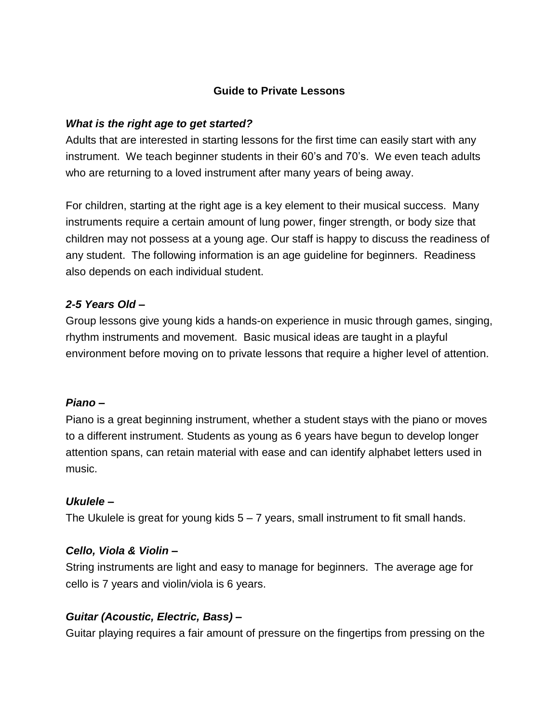# **Guide to Private Lessons**

# *What is the right age to get started?*

Adults that are interested in starting lessons for the first time can easily start with any instrument. We teach beginner students in their 60's and 70's. We even teach adults who are returning to a loved instrument after many years of being away.

For children, starting at the right age is a key element to their musical success. Many instruments require a certain amount of lung power, finger strength, or body size that children may not possess at a young age. Our staff is happy to discuss the readiness of any student. The following information is an age guideline for beginners. Readiness also depends on each individual student.

# *2-5 Years Old –*

Group lessons give young kids a hands-on experience in music through games, singing, rhythm instruments and movement. Basic musical ideas are taught in a playful environment before moving on to private lessons that require a higher level of attention.

# *Piano* **–**

Piano is a great beginning instrument, whether a student stays with the piano or moves to a different instrument. Students as young as 6 years have begun to develop longer attention spans, can retain material with ease and can identify alphabet letters used in music.

# *Ukulele –*

The Ukulele is great for young kids 5 – 7 years, small instrument to fit small hands.

# *Cello, Viola & Violin –*

String instruments are light and easy to manage for beginners. The average age for cello is 7 years and violin/viola is 6 years.

# *Guitar (Acoustic, Electric, Bass) –*

Guitar playing requires a fair amount of pressure on the fingertips from pressing on the